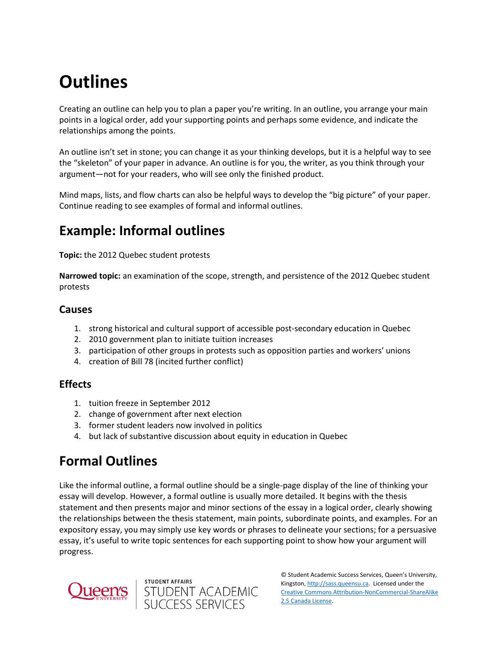# **Outlines**

Creating an outline can help you to plan a paper you're writing. In an outline, you arrange your main points in a logical order, add your supporting points and perhaps some evidence, and indicate the relationships among the points.

An outline isn't set in stone; you can change it as your thinking develops, but it is a helpful way to see the "skeleton" of your paper in advance. An outline is for you, the writer, as you think through your argument—not for your readers, who will see only the finished product.

Mind maps, lists, and flow charts can also be helpful ways to develop the "big picture" of your paper. Continue reading to see examples of formal and informal outlines.

# **Example: Informal outlines**

**Topic:** the 2012 Quebec student protests

**Narrowed topic:** an examination of the scope, strength, and persistence of the 2012 Quebec student protests

#### **Causes**

- 1. strong historical and cultural support of accessible post-secondary education in Quebec
- 2. 2010 government plan to initiate tuition increases
- 3. participation of other groups in protests such as opposition parties and workers' unions
- 4. creation of Bill 78 (incited further conflict)

### **Effects**

- 1. tuition freeze in September 2012
- 2. change of government after next election
- 3. former student leaders now involved in politics
- 4. but lack of substantive discussion about equity in education in Quebec

# **Formal Outlines**

Like the informal outline, a formal outline should be a single-page display of the line of thinking your essay will develop. However, a formal outline is usually more detailed. It begins with the thesis statement and then presents major and minor sections of the essay in a logical order, clearly showing the relationships between the thesis statement, main points, subordinate points, and examples. For an expository essay, you may simply use key words or phrases to delineate your sections; for a persuasive essay, it's useful to write topic sentences for each supporting point to show how your argument will progress.



© Student Academic Success Services, Queen's University, student affairs<br>STUDENT ACADEMIC<br>SUCCESS SERVICES Kingston[, http://sass.queensu.ca.](http://sass.queensu.ca/) Licensed under the [Creative Commons Attribution-NonCommercial-ShareAlike](http://creativecommons.org/licenses/by-nc-sa/2.5/ca/)  [2.5 Canada License.](http://creativecommons.org/licenses/by-nc-sa/2.5/ca/)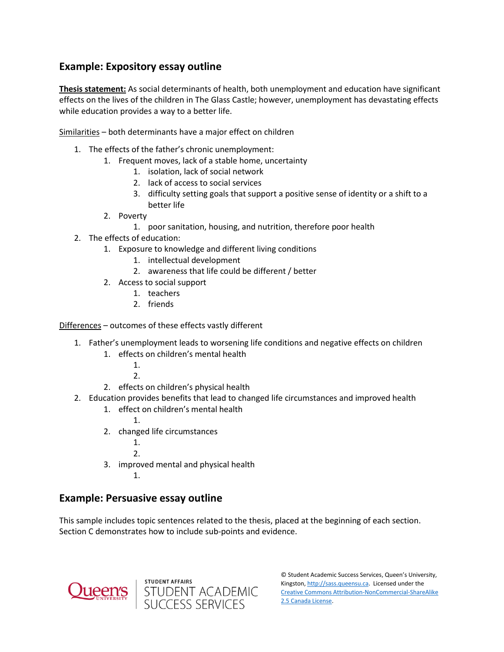### **Example: Expository essay outline**

**Thesis statement:** As social determinants of health, both unemployment and education have significant effects on the lives of the children in The Glass Castle; however, unemployment has devastating effects while education provides a way to a better life.

Similarities – both determinants have a major effect on children

- 1. The effects of the father's chronic unemployment:
	- 1. Frequent moves, lack of a stable home, uncertainty
		- 1. isolation, lack of social network
		- 2. lack of access to social services
		- 3. difficulty setting goals that support a positive sense of identity or a shift to a better life
	- 2. Poverty
		- 1. poor sanitation, housing, and nutrition, therefore poor health
- 2. The effects of education:
	- 1. Exposure to knowledge and different living conditions
		- 1. intellectual development
		- 2. awareness that life could be different / better
	- 2. Access to social support
		- 1. teachers
		- 2. friends

Differences – outcomes of these effects vastly different

- 1. Father's unemployment leads to worsening life conditions and negative effects on children
	- 1. effects on children's mental health
		- 1.
		- 2.
	- 2. effects on children's physical health
- 2. Education provides benefits that lead to changed life circumstances and improved health
	- 1. effect on children's mental health
		-
	- 2. changed life circumstances
		- 1.
			- $\mathcal{L}$

1.

- 3. improved mental and physical health
	- 1.

### **Example: Persuasive essay outline**

This sample includes topic sentences related to the thesis, placed at the beginning of each section. Section C demonstrates how to include sub-points and evidence.





© Student Academic Success Services, Queen's University, Kingston[, http://sass.queensu.ca.](http://sass.queensu.ca/) Licensed under the [Creative Commons Attribution-NonCommercial-ShareAlike](http://creativecommons.org/licenses/by-nc-sa/2.5/ca/)  [2.5 Canada License.](http://creativecommons.org/licenses/by-nc-sa/2.5/ca/)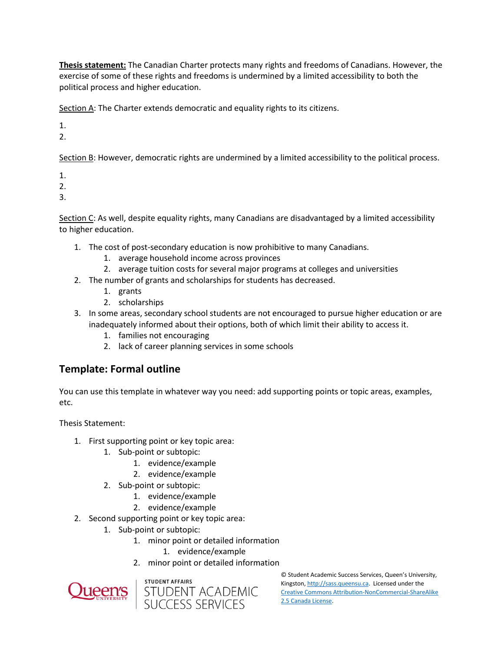**Thesis statement:** The Canadian Charter protects many rights and freedoms of Canadians. However, the exercise of some of these rights and freedoms is undermined by a limited accessibility to both the political process and higher education.

Section A: The Charter extends democratic and equality rights to its citizens.

1.

2.

Section B: However, democratic rights are undermined by a limited accessibility to the political process.

1.

2.

3.

Section C: As well, despite equality rights, many Canadians are disadvantaged by a limited accessibility to higher education.

- 1. The cost of post-secondary education is now prohibitive to many Canadians.
	- 1. average household income across provinces
	- 2. average tuition costs for several major programs at colleges and universities
- 2. The number of grants and scholarships for students has decreased.
	- 1. grants
	- 2. scholarships
- 3. In some areas, secondary school students are not encouraged to pursue higher education or are inadequately informed about their options, both of which limit their ability to access it.
	- 1. families not encouraging
	- 2. lack of career planning services in some schools

## **Template: Formal outline**

You can use this template in whatever way you need: add supporting points or topic areas, examples, etc.

Thesis Statement:

- 1. First supporting point or key topic area:
	- 1. Sub-point or subtopic:
		- 1. evidence/example
		- 2. evidence/example
	- 2. Sub-point or subtopic:
		- 1. evidence/example
		- 2. evidence/example
- 2. Second supporting point or key topic area:
	- 1. Sub-point or subtopic:
		- 1. minor point or detailed information
			- 1. evidence/example
			- 2. minor point or detailed information





© Student Academic Success Services, Queen's University, Kingston[, http://sass.queensu.ca.](http://sass.queensu.ca/) Licensed under the [Creative Commons Attribution-NonCommercial-ShareAlike](http://creativecommons.org/licenses/by-nc-sa/2.5/ca/)  [2.5 Canada License.](http://creativecommons.org/licenses/by-nc-sa/2.5/ca/)